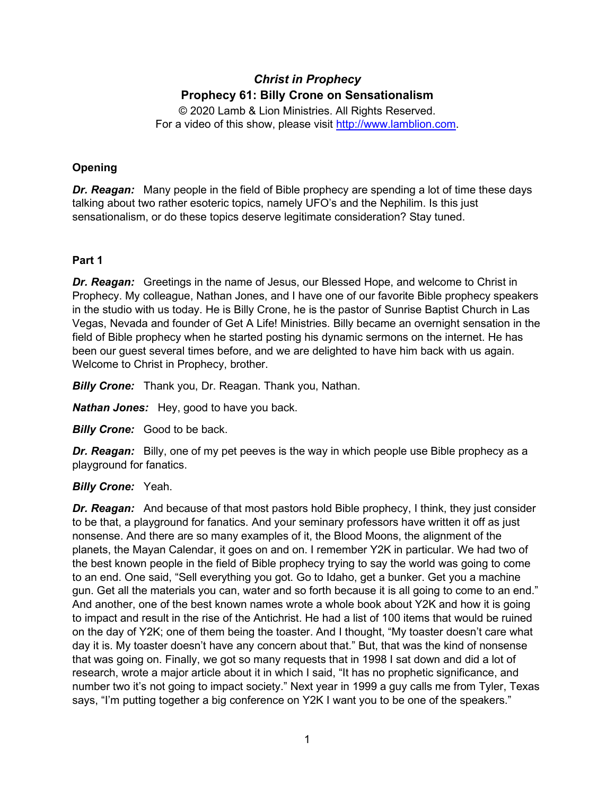# *Christ in Prophecy* **Prophecy 61: Billy Crone on Sensationalism**

© 2020 Lamb & Lion Ministries. All Rights Reserved. For a video of this show, please visit [http://www.lamblion.com.](http://www.lamblion.com/)

# **Opening**

*Dr. Reagan:* Many people in the field of Bible prophecy are spending a lot of time these days talking about two rather esoteric topics, namely UFO's and the Nephilim. Is this just sensationalism, or do these topics deserve legitimate consideration? Stay tuned.

### **Part 1**

*Dr. Reagan:* Greetings in the name of Jesus, our Blessed Hope, and welcome to Christ in Prophecy. My colleague, Nathan Jones, and I have one of our favorite Bible prophecy speakers in the studio with us today. He is Billy Crone, he is the pastor of Sunrise Baptist Church in Las Vegas, Nevada and founder of Get A Life! Ministries. Billy became an overnight sensation in the field of Bible prophecy when he started posting his dynamic sermons on the internet. He has been our guest several times before, and we are delighted to have him back with us again. Welcome to Christ in Prophecy, brother.

*Billy Crone:* Thank you, Dr. Reagan. Thank you, Nathan.

*Nathan Jones:* Hey, good to have you back.

*Billy Crone:* Good to be back.

*Dr. Reagan:* Billy, one of my pet peeves is the way in which people use Bible prophecy as a playground for fanatics.

### *Billy Crone:* Yeah.

*Dr. Reagan:* And because of that most pastors hold Bible prophecy, I think, they just consider to be that, a playground for fanatics. And your seminary professors have written it off as just nonsense. And there are so many examples of it, the Blood Moons, the alignment of the planets, the Mayan Calendar, it goes on and on. I remember Y2K in particular. We had two of the best known people in the field of Bible prophecy trying to say the world was going to come to an end. One said, "Sell everything you got. Go to Idaho, get a bunker. Get you a machine gun. Get all the materials you can, water and so forth because it is all going to come to an end." And another, one of the best known names wrote a whole book about Y2K and how it is going to impact and result in the rise of the Antichrist. He had a list of 100 items that would be ruined on the day of Y2K; one of them being the toaster. And I thought, "My toaster doesn't care what day it is. My toaster doesn't have any concern about that." But, that was the kind of nonsense that was going on. Finally, we got so many requests that in 1998 I sat down and did a lot of research, wrote a major article about it in which I said, "It has no prophetic significance, and number two it's not going to impact society." Next year in 1999 a guy calls me from Tyler, Texas says, "I'm putting together a big conference on Y2K I want you to be one of the speakers."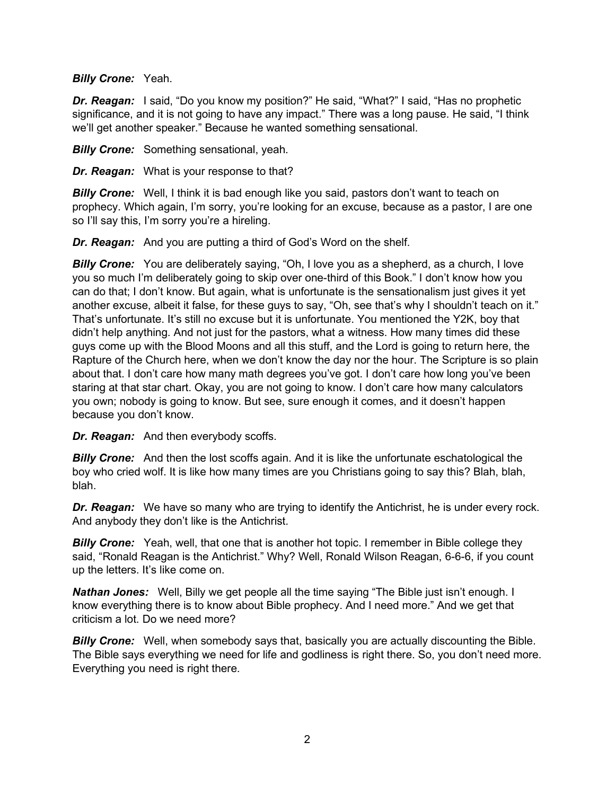#### *Billy Crone:* Yeah.

*Dr. Reagan:* I said, "Do you know my position?" He said, "What?" I said, "Has no prophetic significance, and it is not going to have any impact." There was a long pause. He said, "I think we'll get another speaker." Because he wanted something sensational.

*Billy Crone:* Something sensational, yeah.

*Dr. Reagan:* What is your response to that?

**Billy Crone:** Well, I think it is bad enough like you said, pastors don't want to teach on prophecy. Which again, I'm sorry, you're looking for an excuse, because as a pastor, I are one so I'll say this, I'm sorry you're a hireling.

*Dr. Reagan:* And you are putting a third of God's Word on the shelf.

**Billy Crone:** You are deliberately saying, "Oh, I love you as a shepherd, as a church, I love you so much I'm deliberately going to skip over one-third of this Book." I don't know how you can do that; I don't know. But again, what is unfortunate is the sensationalism just gives it yet another excuse, albeit it false, for these guys to say, "Oh, see that's why I shouldn't teach on it." That's unfortunate. It's still no excuse but it is unfortunate. You mentioned the Y2K, boy that didn't help anything. And not just for the pastors, what a witness. How many times did these guys come up with the Blood Moons and all this stuff, and the Lord is going to return here, the Rapture of the Church here, when we don't know the day nor the hour. The Scripture is so plain about that. I don't care how many math degrees you've got. I don't care how long you've been staring at that star chart. Okay, you are not going to know. I don't care how many calculators you own; nobody is going to know. But see, sure enough it comes, and it doesn't happen because you don't know.

*Dr. Reagan:* And then everybody scoffs.

**Billy Crone:** And then the lost scoffs again. And it is like the unfortunate eschatological the boy who cried wolf. It is like how many times are you Christians going to say this? Blah, blah, blah.

**Dr. Reagan:** We have so many who are trying to identify the Antichrist, he is under every rock. And anybody they don't like is the Antichrist.

*Billy Crone:* Yeah, well, that one that is another hot topic. I remember in Bible college they said, "Ronald Reagan is the Antichrist." Why? Well, Ronald Wilson Reagan, 6-6-6, if you count up the letters. It's like come on.

*Nathan Jones:* Well, Billy we get people all the time saying "The Bible just isn't enough. I know everything there is to know about Bible prophecy. And I need more." And we get that criticism a lot. Do we need more?

**Billy Crone:** Well, when somebody says that, basically you are actually discounting the Bible. The Bible says everything we need for life and godliness is right there. So, you don't need more. Everything you need is right there.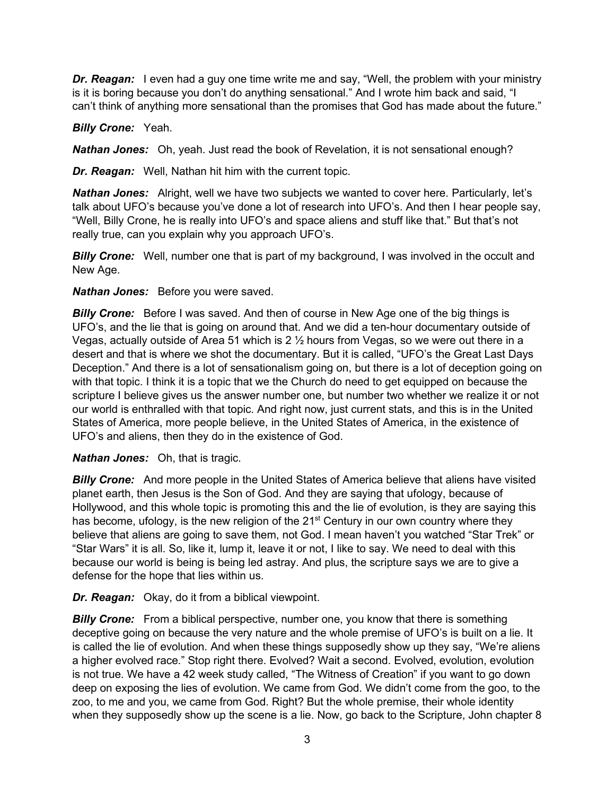**Dr. Reagan:** I even had a guy one time write me and say, "Well, the problem with your ministry is it is boring because you don't do anything sensational." And I wrote him back and said, "I can't think of anything more sensational than the promises that God has made about the future."

# *Billy Crone:* Yeah.

*Nathan Jones:* Oh, yeah. Just read the book of Revelation, it is not sensational enough?

*Dr. Reagan:* Well, Nathan hit him with the current topic.

*Nathan Jones:* Alright, well we have two subjects we wanted to cover here. Particularly, let's talk about UFO's because you've done a lot of research into UFO's. And then I hear people say, "Well, Billy Crone, he is really into UFO's and space aliens and stuff like that." But that's not really true, can you explain why you approach UFO's.

**Billy Crone:** Well, number one that is part of my background, I was involved in the occult and New Age.

# *Nathan Jones:* Before you were saved.

*Billy Crone:* Before I was saved. And then of course in New Age one of the big things is UFO's, and the lie that is going on around that. And we did a ten-hour documentary outside of Vegas, actually outside of Area 51 which is 2 ½ hours from Vegas, so we were out there in a desert and that is where we shot the documentary. But it is called, "UFO's the Great Last Days Deception." And there is a lot of sensationalism going on, but there is a lot of deception going on with that topic. I think it is a topic that we the Church do need to get equipped on because the scripture I believe gives us the answer number one, but number two whether we realize it or not our world is enthralled with that topic. And right now, just current stats, and this is in the United States of America, more people believe, in the United States of America, in the existence of UFO's and aliens, then they do in the existence of God.

### *Nathan Jones:* Oh, that is tragic.

**Billy Crone:** And more people in the United States of America believe that aliens have visited planet earth, then Jesus is the Son of God. And they are saying that ufology, because of Hollywood, and this whole topic is promoting this and the lie of evolution, is they are saying this has become, ufology, is the new religion of the 21<sup>st</sup> Century in our own country where they believe that aliens are going to save them, not God. I mean haven't you watched "Star Trek" or "Star Wars" it is all. So, like it, lump it, leave it or not, I like to say. We need to deal with this because our world is being is being led astray. And plus, the scripture says we are to give a defense for the hope that lies within us.

*Dr. Reagan:* Okay, do it from a biblical viewpoint.

*Billy Crone:* From a biblical perspective, number one, you know that there is something deceptive going on because the very nature and the whole premise of UFO's is built on a lie. It is called the lie of evolution. And when these things supposedly show up they say, "We're aliens a higher evolved race." Stop right there. Evolved? Wait a second. Evolved, evolution, evolution is not true. We have a 42 week study called, "The Witness of Creation" if you want to go down deep on exposing the lies of evolution. We came from God. We didn't come from the goo, to the zoo, to me and you, we came from God. Right? But the whole premise, their whole identity when they supposedly show up the scene is a lie. Now, go back to the Scripture, John chapter 8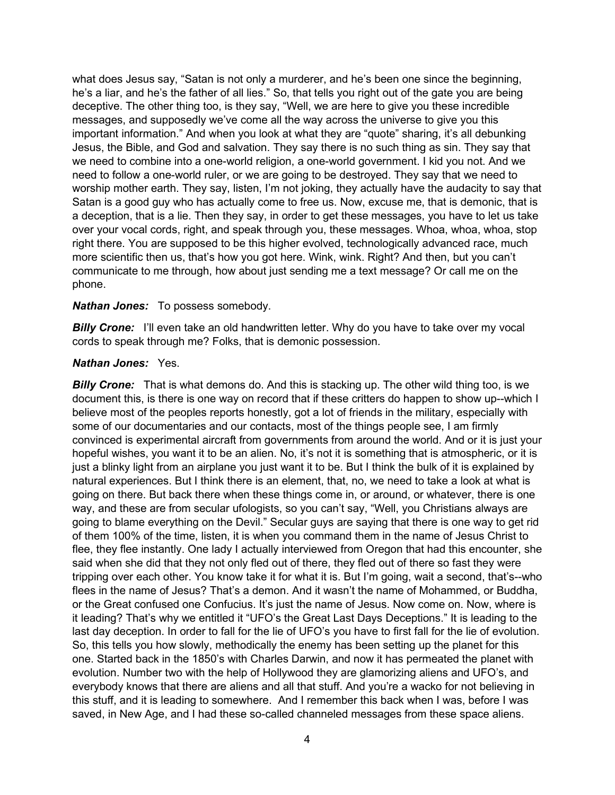what does Jesus say, "Satan is not only a murderer, and he's been one since the beginning, he's a liar, and he's the father of all lies." So, that tells you right out of the gate you are being deceptive. The other thing too, is they say, "Well, we are here to give you these incredible messages, and supposedly we've come all the way across the universe to give you this important information." And when you look at what they are "quote" sharing, it's all debunking Jesus, the Bible, and God and salvation. They say there is no such thing as sin. They say that we need to combine into a one-world religion, a one-world government. I kid you not. And we need to follow a one-world ruler, or we are going to be destroyed. They say that we need to worship mother earth. They say, listen, I'm not joking, they actually have the audacity to say that Satan is a good guy who has actually come to free us. Now, excuse me, that is demonic, that is a deception, that is a lie. Then they say, in order to get these messages, you have to let us take over your vocal cords, right, and speak through you, these messages. Whoa, whoa, whoa, stop right there. You are supposed to be this higher evolved, technologically advanced race, much more scientific then us, that's how you got here. Wink, wink. Right? And then, but you can't communicate to me through, how about just sending me a text message? Or call me on the phone.

#### *Nathan Jones:* To possess somebody.

**Billy Crone:** I'll even take an old handwritten letter. Why do you have to take over my vocal cords to speak through me? Folks, that is demonic possession.

#### *Nathan Jones:* Yes.

**Billy Crone:** That is what demons do. And this is stacking up. The other wild thing too, is we document this, is there is one way on record that if these critters do happen to show up--which I believe most of the peoples reports honestly, got a lot of friends in the military, especially with some of our documentaries and our contacts, most of the things people see, I am firmly convinced is experimental aircraft from governments from around the world. And or it is just your hopeful wishes, you want it to be an alien. No, it's not it is something that is atmospheric, or it is just a blinky light from an airplane you just want it to be. But I think the bulk of it is explained by natural experiences. But I think there is an element, that, no, we need to take a look at what is going on there. But back there when these things come in, or around, or whatever, there is one way, and these are from secular ufologists, so you can't say, "Well, you Christians always are going to blame everything on the Devil." Secular guys are saying that there is one way to get rid of them 100% of the time, listen, it is when you command them in the name of Jesus Christ to flee, they flee instantly. One lady I actually interviewed from Oregon that had this encounter, she said when she did that they not only fled out of there, they fled out of there so fast they were tripping over each other. You know take it for what it is. But I'm going, wait a second, that's--who flees in the name of Jesus? That's a demon. And it wasn't the name of Mohammed, or Buddha, or the Great confused one Confucius. It's just the name of Jesus. Now come on. Now, where is it leading? That's why we entitled it "UFO's the Great Last Days Deceptions." It is leading to the last day deception. In order to fall for the lie of UFO's you have to first fall for the lie of evolution. So, this tells you how slowly, methodically the enemy has been setting up the planet for this one. Started back in the 1850's with Charles Darwin, and now it has permeated the planet with evolution. Number two with the help of Hollywood they are glamorizing aliens and UFO's, and everybody knows that there are aliens and all that stuff. And you're a wacko for not believing in this stuff, and it is leading to somewhere. And I remember this back when I was, before I was saved, in New Age, and I had these so-called channeled messages from these space aliens.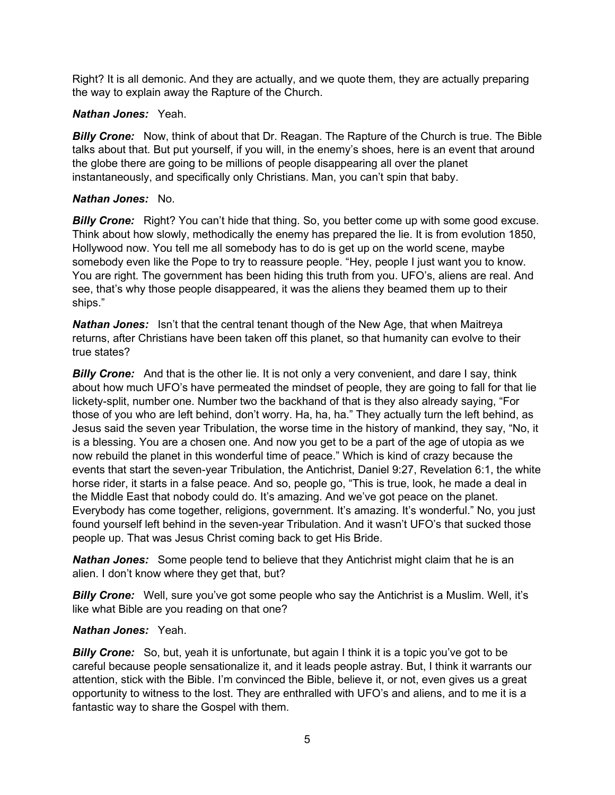Right? It is all demonic. And they are actually, and we quote them, they are actually preparing the way to explain away the Rapture of the Church.

### *Nathan Jones:* Yeah.

*Billy Crone:* Now, think of about that Dr. Reagan. The Rapture of the Church is true. The Bible talks about that. But put yourself, if you will, in the enemy's shoes, here is an event that around the globe there are going to be millions of people disappearing all over the planet instantaneously, and specifically only Christians. Man, you can't spin that baby.

# *Nathan Jones:* No.

**Billy Crone:** Right? You can't hide that thing. So, you better come up with some good excuse. Think about how slowly, methodically the enemy has prepared the lie. It is from evolution 1850, Hollywood now. You tell me all somebody has to do is get up on the world scene, maybe somebody even like the Pope to try to reassure people. "Hey, people I just want you to know. You are right. The government has been hiding this truth from you. UFO's, aliens are real. And see, that's why those people disappeared, it was the aliens they beamed them up to their ships."

*Nathan Jones:* Isn't that the central tenant though of the New Age, that when Maitreya returns, after Christians have been taken off this planet, so that humanity can evolve to their true states?

**Billy Crone:** And that is the other lie. It is not only a very convenient, and dare I say, think about how much UFO's have permeated the mindset of people, they are going to fall for that lie lickety-split, number one. Number two the backhand of that is they also already saying, "For those of you who are left behind, don't worry. Ha, ha, ha." They actually turn the left behind, as Jesus said the seven year Tribulation, the worse time in the history of mankind, they say, "No, it is a blessing. You are a chosen one. And now you get to be a part of the age of utopia as we now rebuild the planet in this wonderful time of peace." Which is kind of crazy because the events that start the seven-year Tribulation, the Antichrist, Daniel 9:27, Revelation 6:1, the white horse rider, it starts in a false peace. And so, people go, "This is true, look, he made a deal in the Middle East that nobody could do. It's amazing. And we've got peace on the planet. Everybody has come together, religions, government. It's amazing. It's wonderful." No, you just found yourself left behind in the seven-year Tribulation. And it wasn't UFO's that sucked those people up. That was Jesus Christ coming back to get His Bride.

*Nathan Jones:* Some people tend to believe that they Antichrist might claim that he is an alien. I don't know where they get that, but?

**Billy Crone:** Well, sure you've got some people who say the Antichrist is a Muslim. Well, it's like what Bible are you reading on that one?

### *Nathan Jones:* Yeah.

**Billy Crone:** So, but, yeah it is unfortunate, but again I think it is a topic you've got to be careful because people sensationalize it, and it leads people astray. But, I think it warrants our attention, stick with the Bible. I'm convinced the Bible, believe it, or not, even gives us a great opportunity to witness to the lost. They are enthralled with UFO's and aliens, and to me it is a fantastic way to share the Gospel with them.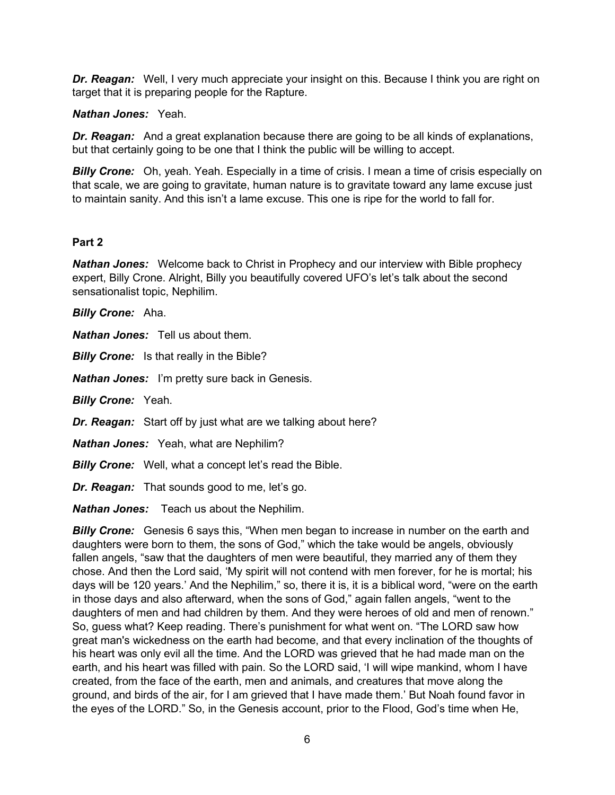*Dr. Reagan:* Well, I very much appreciate your insight on this. Because I think you are right on target that it is preparing people for the Rapture.

# *Nathan Jones:* Yeah.

*Dr. Reagan:* And a great explanation because there are going to be all kinds of explanations, but that certainly going to be one that I think the public will be willing to accept.

**Billy Crone:** Oh, yeah. Yeah. Especially in a time of crisis. I mean a time of crisis especially on that scale, we are going to gravitate, human nature is to gravitate toward any lame excuse just to maintain sanity. And this isn't a lame excuse. This one is ripe for the world to fall for.

# **Part 2**

*Nathan Jones:* Welcome back to Christ in Prophecy and our interview with Bible prophecy expert, Billy Crone. Alright, Billy you beautifully covered UFO's let's talk about the second sensationalist topic, Nephilim.

*Billy Crone:* Aha.

*Nathan Jones:* Tell us about them.

**Billy Crone:** Is that really in the Bible?

*Nathan Jones:* I'm pretty sure back in Genesis.

*Billy Crone:* Yeah.

*Dr. Reagan:* Start off by just what are we talking about here?

*Nathan Jones:* Yeah, what are Nephilim?

**Billy Crone:** Well, what a concept let's read the Bible.

*Dr. Reagan:* That sounds good to me, let's go.

*Nathan Jones:* Teach us about the Nephilim.

**Billy Crone:** Genesis 6 says this, "When men began to increase in number on the earth and daughters were born to them, the sons of God," which the take would be angels, obviously fallen angels, "saw that the daughters of men were beautiful, they married any of them they chose. And then the Lord said, 'My spirit will not contend with men forever, for he is mortal; his days will be 120 years.' And the Nephilim," so, there it is, it is a biblical word, "were on the earth in those days and also afterward, when the sons of God," again fallen angels, "went to the daughters of men and had children by them. And they were heroes of old and men of renown." So, guess what? Keep reading. There's punishment for what went on. "The LORD saw how great man's wickedness on the earth had become, and that every inclination of the thoughts of his heart was only evil all the time. And the LORD was grieved that he had made man on the earth, and his heart was filled with pain. So the LORD said, 'I will wipe mankind, whom I have created, from the face of the earth, men and animals, and creatures that move along the ground, and birds of the air, for I am grieved that I have made them.' But Noah found favor in the eyes of the LORD." So, in the Genesis account, prior to the Flood, God's time when He,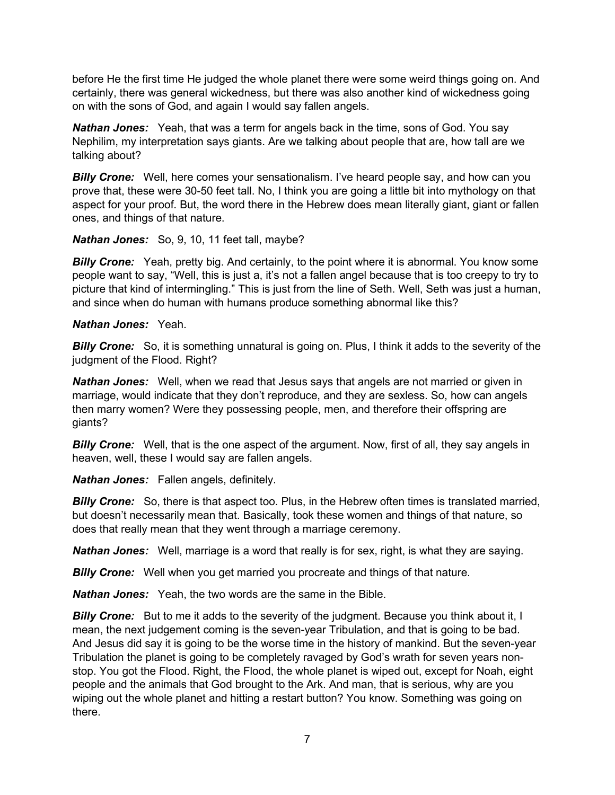before He the first time He judged the whole planet there were some weird things going on. And certainly, there was general wickedness, but there was also another kind of wickedness going on with the sons of God, and again I would say fallen angels.

*Nathan Jones:* Yeah, that was a term for angels back in the time, sons of God. You say Nephilim, my interpretation says giants. Are we talking about people that are, how tall are we talking about?

**Billy Crone:** Well, here comes your sensationalism. I've heard people say, and how can you prove that, these were 30-50 feet tall. No, I think you are going a little bit into mythology on that aspect for your proof. But, the word there in the Hebrew does mean literally giant, giant or fallen ones, and things of that nature.

### *Nathan Jones:* So, 9, 10, 11 feet tall, maybe?

**Billy Crone:** Yeah, pretty big. And certainly, to the point where it is abnormal. You know some people want to say, "Well, this is just a, it's not a fallen angel because that is too creepy to try to picture that kind of intermingling." This is just from the line of Seth. Well, Seth was just a human, and since when do human with humans produce something abnormal like this?

# *Nathan Jones:* Yeah.

*Billy Crone:* So, it is something unnatural is going on. Plus, I think it adds to the severity of the judgment of the Flood. Right?

*Nathan Jones:* Well, when we read that Jesus says that angels are not married or given in marriage, would indicate that they don't reproduce, and they are sexless. So, how can angels then marry women? Were they possessing people, men, and therefore their offspring are giants?

*Billy Crone:* Well, that is the one aspect of the argument. Now, first of all, they say angels in heaven, well, these I would say are fallen angels.

*Nathan Jones:* Fallen angels, definitely.

**Billy Crone:** So, there is that aspect too. Plus, in the Hebrew often times is translated married, but doesn't necessarily mean that. Basically, took these women and things of that nature, so does that really mean that they went through a marriage ceremony.

*Nathan Jones:* Well, marriage is a word that really is for sex, right, is what they are saying.

*Billy Crone:* Well when you get married you procreate and things of that nature.

*Nathan Jones:* Yeah, the two words are the same in the Bible.

**Billy Crone:** But to me it adds to the severity of the judgment. Because you think about it, I mean, the next judgement coming is the seven-year Tribulation, and that is going to be bad. And Jesus did say it is going to be the worse time in the history of mankind. But the seven-year Tribulation the planet is going to be completely ravaged by God's wrath for seven years nonstop. You got the Flood. Right, the Flood, the whole planet is wiped out, except for Noah, eight people and the animals that God brought to the Ark. And man, that is serious, why are you wiping out the whole planet and hitting a restart button? You know. Something was going on there.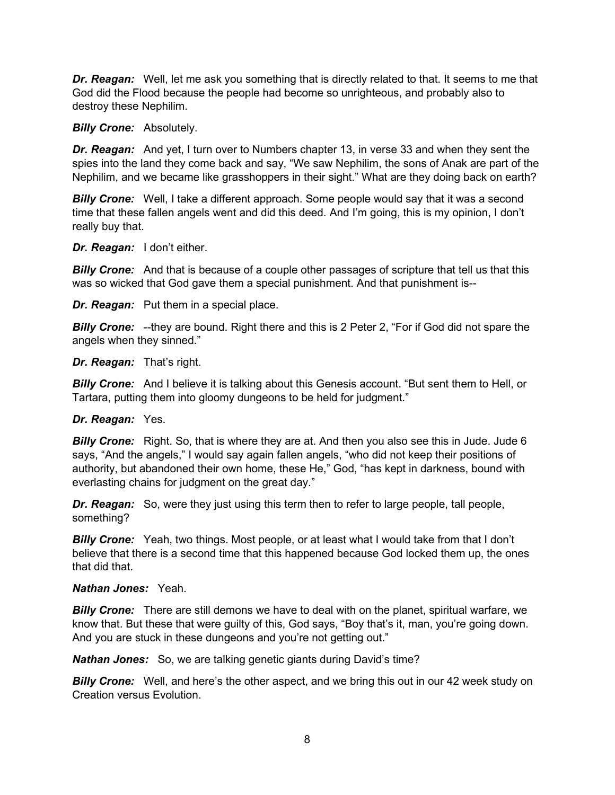*Dr. Reagan:* Well, let me ask you something that is directly related to that. It seems to me that God did the Flood because the people had become so unrighteous, and probably also to destroy these Nephilim.

#### *Billy Crone:* Absolutely.

*Dr. Reagan:* And yet, I turn over to Numbers chapter 13, in verse 33 and when they sent the spies into the land they come back and say, "We saw Nephilim, the sons of Anak are part of the Nephilim, and we became like grasshoppers in their sight." What are they doing back on earth?

**Billy Crone:** Well, I take a different approach. Some people would say that it was a second time that these fallen angels went and did this deed. And I'm going, this is my opinion, I don't really buy that.

#### *Dr. Reagan:* I don't either.

**Billy Crone:** And that is because of a couple other passages of scripture that tell us that this was so wicked that God gave them a special punishment. And that punishment is--

*Dr. Reagan:* Put them in a special place.

*Billy Crone:* --they are bound. Right there and this is 2 Peter 2, "For if God did not spare the angels when they sinned."

*Dr. Reagan:* That's right.

*Billy Crone:* And I believe it is talking about this Genesis account. "But sent them to Hell, or Tartara, putting them into gloomy dungeons to be held for judgment."

#### *Dr. Reagan:* Yes.

**Billy Crone:** Right. So, that is where they are at. And then you also see this in Jude. Jude 6 says, "And the angels," I would say again fallen angels, "who did not keep their positions of authority, but abandoned their own home, these He," God, "has kept in darkness, bound with everlasting chains for judgment on the great day."

*Dr. Reagan:* So, were they just using this term then to refer to large people, tall people, something?

*Billy Crone:* Yeah, two things. Most people, or at least what I would take from that I don't believe that there is a second time that this happened because God locked them up, the ones that did that.

#### *Nathan Jones:* Yeah.

*Billy Crone:* There are still demons we have to deal with on the planet, spiritual warfare, we know that. But these that were guilty of this, God says, "Boy that's it, man, you're going down. And you are stuck in these dungeons and you're not getting out."

*Nathan Jones:* So, we are talking genetic giants during David's time?

**Billy Crone:** Well, and here's the other aspect, and we bring this out in our 42 week study on Creation versus Evolution.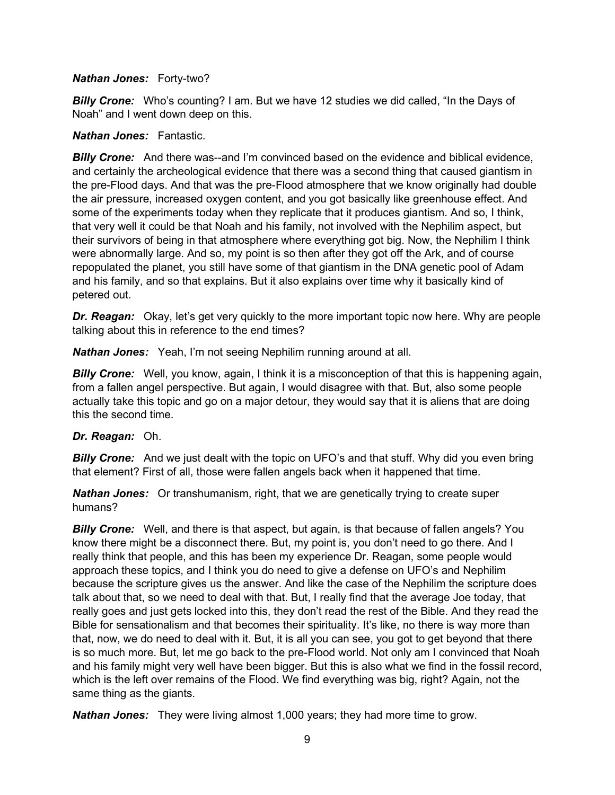#### *Nathan Jones:* Forty-two?

*Billy Crone:* Who's counting? I am. But we have 12 studies we did called, "In the Days of Noah" and I went down deep on this.

#### *Nathan Jones:* Fantastic.

**Billy Crone:** And there was--and I'm convinced based on the evidence and biblical evidence, and certainly the archeological evidence that there was a second thing that caused giantism in the pre-Flood days. And that was the pre-Flood atmosphere that we know originally had double the air pressure, increased oxygen content, and you got basically like greenhouse effect. And some of the experiments today when they replicate that it produces giantism. And so, I think, that very well it could be that Noah and his family, not involved with the Nephilim aspect, but their survivors of being in that atmosphere where everything got big. Now, the Nephilim I think were abnormally large. And so, my point is so then after they got off the Ark, and of course repopulated the planet, you still have some of that giantism in the DNA genetic pool of Adam and his family, and so that explains. But it also explains over time why it basically kind of petered out.

*Dr. Reagan:* Okay, let's get very quickly to the more important topic now here. Why are people talking about this in reference to the end times?

*Nathan Jones:* Yeah, I'm not seeing Nephilim running around at all.

*Billy Crone:* Well, you know, again, I think it is a misconception of that this is happening again, from a fallen angel perspective. But again, I would disagree with that. But, also some people actually take this topic and go on a major detour, they would say that it is aliens that are doing this the second time.

### *Dr. Reagan:* Oh.

**Billy Crone:** And we just dealt with the topic on UFO's and that stuff. Why did you even bring that element? First of all, those were fallen angels back when it happened that time.

*Nathan Jones:* Or transhumanism, right, that we are genetically trying to create super humans?

*Billy Crone:* Well, and there is that aspect, but again, is that because of fallen angels? You know there might be a disconnect there. But, my point is, you don't need to go there. And I really think that people, and this has been my experience Dr. Reagan, some people would approach these topics, and I think you do need to give a defense on UFO's and Nephilim because the scripture gives us the answer. And like the case of the Nephilim the scripture does talk about that, so we need to deal with that. But, I really find that the average Joe today, that really goes and just gets locked into this, they don't read the rest of the Bible. And they read the Bible for sensationalism and that becomes their spirituality. It's like, no there is way more than that, now, we do need to deal with it. But, it is all you can see, you got to get beyond that there is so much more. But, let me go back to the pre-Flood world. Not only am I convinced that Noah and his family might very well have been bigger. But this is also what we find in the fossil record, which is the left over remains of the Flood. We find everything was big, right? Again, not the same thing as the giants.

*Nathan Jones:* They were living almost 1,000 years; they had more time to grow.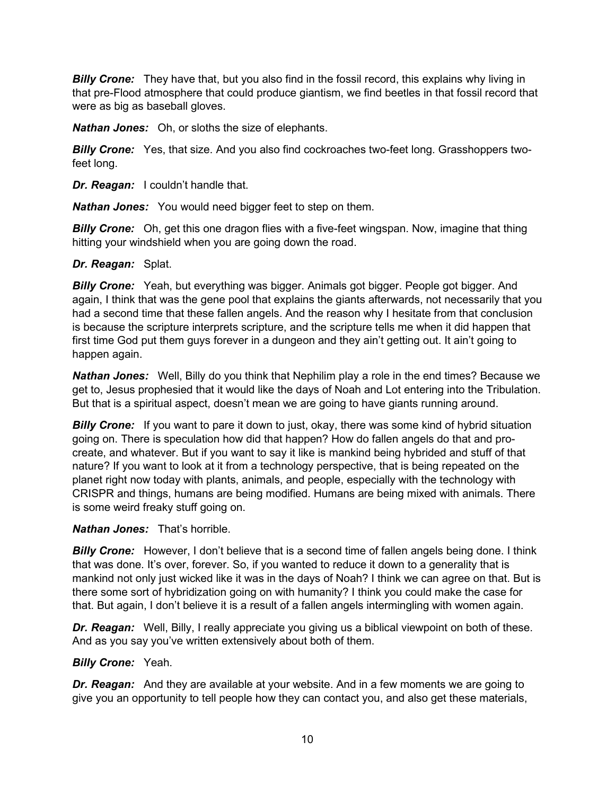**Billy Crone:** They have that, but you also find in the fossil record, this explains why living in that pre-Flood atmosphere that could produce giantism, we find beetles in that fossil record that were as big as baseball gloves.

*Nathan Jones:* Oh, or sloths the size of elephants.

*Billy Crone:* Yes, that size. And you also find cockroaches two-feet long. Grasshoppers twofeet long.

*Dr. Reagan:* I couldn't handle that.

*Nathan Jones:* You would need bigger feet to step on them.

*Billy Crone:* Oh, get this one dragon flies with a five-feet wingspan. Now, imagine that thing hitting your windshield when you are going down the road.

#### *Dr. Reagan:* Splat.

*Billy Crone:* Yeah, but everything was bigger. Animals got bigger. People got bigger. And again, I think that was the gene pool that explains the giants afterwards, not necessarily that you had a second time that these fallen angels. And the reason why I hesitate from that conclusion is because the scripture interprets scripture, and the scripture tells me when it did happen that first time God put them guys forever in a dungeon and they ain't getting out. It ain't going to happen again.

*Nathan Jones:* Well, Billy do you think that Nephilim play a role in the end times? Because we get to, Jesus prophesied that it would like the days of Noah and Lot entering into the Tribulation. But that is a spiritual aspect, doesn't mean we are going to have giants running around.

**Billy Crone:** If you want to pare it down to just, okay, there was some kind of hybrid situation going on. There is speculation how did that happen? How do fallen angels do that and procreate, and whatever. But if you want to say it like is mankind being hybrided and stuff of that nature? If you want to look at it from a technology perspective, that is being repeated on the planet right now today with plants, animals, and people, especially with the technology with CRISPR and things, humans are being modified. Humans are being mixed with animals. There is some weird freaky stuff going on.

### *Nathan Jones:* That's horrible.

*Billy Crone:* However, I don't believe that is a second time of fallen angels being done. I think that was done. It's over, forever. So, if you wanted to reduce it down to a generality that is mankind not only just wicked like it was in the days of Noah? I think we can agree on that. But is there some sort of hybridization going on with humanity? I think you could make the case for that. But again, I don't believe it is a result of a fallen angels intermingling with women again.

*Dr. Reagan:* Well, Billy, I really appreciate you giving us a biblical viewpoint on both of these. And as you say you've written extensively about both of them.

### *Billy Crone:* Yeah.

*Dr. Reagan:* And they are available at your website. And in a few moments we are going to give you an opportunity to tell people how they can contact you, and also get these materials,